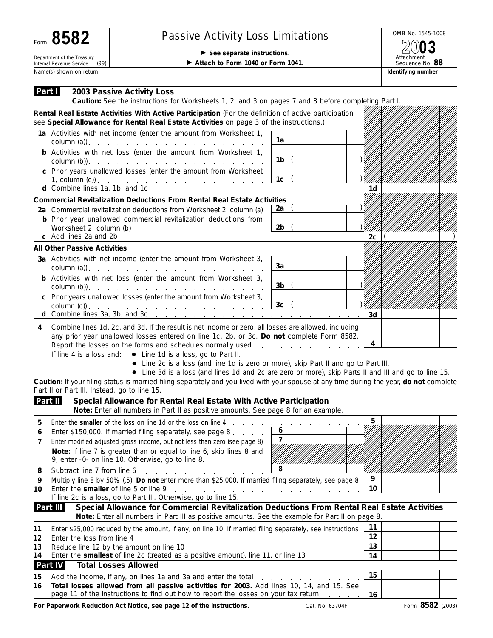| Form 8582                                                      | <b>Passive Activity Loss Limitations</b>                                         | OMB No. 1545-10                      |  |  |
|----------------------------------------------------------------|----------------------------------------------------------------------------------|--------------------------------------|--|--|
| Department of the Treasury<br>(99)<br>Internal Revenue Service | $\triangleright$ See separate instructions.<br>Attach to Form 1040 or Form 1041. | 2003<br>Attachment<br>Sequence No. 8 |  |  |
| Name(s) shown on return                                        |                                                                                  | Identifying number                   |  |  |

## Passive Activity Loss Limitations **Passive Activity Loss Limitations** 2003

Attachment Sequence No. **88**

| Part I<br>2003 Passive Activity Loss<br>Caution: See the instructions for Worksheets 1, 2, and 3 on pages 7 and 8 before completing Part I.                                                                                                                                                                                                                                                                                                                                                                                                              |                                             |                 |  |  |  |  |
|----------------------------------------------------------------------------------------------------------------------------------------------------------------------------------------------------------------------------------------------------------------------------------------------------------------------------------------------------------------------------------------------------------------------------------------------------------------------------------------------------------------------------------------------------------|---------------------------------------------|-----------------|--|--|--|--|
| Rental Real Estate Activities With Active Participation (For the definition of active participation<br>see Special Allowance for Rental Real Estate Activities on page 3 of the instructions.)                                                                                                                                                                                                                                                                                                                                                           |                                             |                 |  |  |  |  |
| 1a Activities with net income (enter the amount from Worksheet 1,                                                                                                                                                                                                                                                                                                                                                                                                                                                                                        | 1a                                          |                 |  |  |  |  |
| <b>b</b> Activities with net loss (enter the amount from Worksheet 1,<br>$\text{column (b)}$ .                                                                                                                                                                                                                                                                                                                                                                                                                                                           | 1b.                                         |                 |  |  |  |  |
| c Prior years unallowed losses (enter the amount from Worksheet<br>1, column (c)). $\cdots$ $\cdots$ $\cdots$ $\cdots$ $\cdots$ $\cdots$ $\cdots$<br>d Combine lines 1a, 1b, and 1c $\ldots$ $\ldots$ $\ldots$ $\ldots$ $\ldots$ $\ldots$ $\ldots$ $\ldots$                                                                                                                                                                                                                                                                                              | 1c                                          | 1d              |  |  |  |  |
| <b>Commercial Revitalization Deductions From Rental Real Estate Activities</b><br>2a Commercial revitalization deductions from Worksheet 2, column (a)                                                                                                                                                                                                                                                                                                                                                                                                   | 2a   $($                                    |                 |  |  |  |  |
| <b>b</b> Prior year unallowed commercial revitalization deductions from<br>Worksheet 2, column (b)                                                                                                                                                                                                                                                                                                                                                                                                                                                       | 2b                                          | 2c <sub>1</sub> |  |  |  |  |
| <b>All Other Passive Activities</b>                                                                                                                                                                                                                                                                                                                                                                                                                                                                                                                      |                                             |                 |  |  |  |  |
| 3a Activities with net income (enter the amount from Worksheet 3,<br>column (a)). $\therefore$ $\therefore$ $\therefore$ $\therefore$ $\therefore$ $\therefore$ $\therefore$ $\therefore$ $\therefore$ $\therefore$ $\therefore$ $\therefore$ $\therefore$ $\therefore$ $\therefore$ $\therefore$ $\therefore$ $\therefore$ $\therefore$ $\therefore$ $\therefore$ $\therefore$ $\therefore$ $\therefore$ $\therefore$ $\therefore$ $\therefore$ $\therefore$ $\therefore$ $\therefore$ $\therefore$ $\therefore$ $\therefore$ $\therefore$ $\therefore$ | 3a                                          |                 |  |  |  |  |
| <b>b</b> Activities with net loss (enter the amount from Worksheet 3,                                                                                                                                                                                                                                                                                                                                                                                                                                                                                    | 3b                                          |                 |  |  |  |  |
| c Prior years unallowed losses (enter the amount from Worksheet 3,<br>d Combine lines 3a, 3b, and 3c $\ldots$ $\ldots$ $\ldots$ $\ldots$ $\ldots$ $\ldots$ $\ldots$ $\ldots$                                                                                                                                                                                                                                                                                                                                                                             | 3 <sub>c</sub>                              | 3d              |  |  |  |  |
| • Line 2c is a loss (and line 1d is zero or more), skip Part II and go to Part III.<br>• Line 3d is a loss (and lines 1d and 2c are zero or more), skip Parts II and III and go to line 15.<br>Caution: If your filing status is married filing separately and you lived with your spouse at any time during the year, do not complete<br>Part II or Part III. Instead, go to line 15.<br>Part II<br>Special Allowance for Rental Real Estate With Active Participation                                                                                  |                                             |                 |  |  |  |  |
| Note: Enter all numbers in Part II as positive amounts. See page 8 for an example.                                                                                                                                                                                                                                                                                                                                                                                                                                                                       |                                             | 5               |  |  |  |  |
| 5<br>Enter \$150,000. If married filing separately, see page 8. $\boxed{6}$<br>6<br>Enter modified adjusted gross income, but not less than zero (see page 8)<br>Note: If line 7 is greater than or equal to line 6, skip lines 8 and<br>9, enter -0- on line 10. Otherwise, go to line 8.                                                                                                                                                                                                                                                               | $\overline{7}$<br>HIIIIIIIIIIIIIIIIIIIXIIII |                 |  |  |  |  |
| Subtract line 7 from line 6<br>8<br>and the company of the company of the<br>Multiply line 8 by 50% (.5). Do not enter more than \$25,000. If married filing separately, see page 8<br>9                                                                                                                                                                                                                                                                                                                                                                 | 8                                           | 9               |  |  |  |  |
| Enter the smaller of line 5 or line 9<br>the contract of the contract of the contract of the contract of the contract of the contract of the contract of<br>10<br>If line 2c is a loss, go to Part III. Otherwise, go to line 15.                                                                                                                                                                                                                                                                                                                        |                                             | 10              |  |  |  |  |
| Part III<br>Special Allowance for Commercial Revitalization Deductions From Rental Real Estate Activities<br>Note: Enter all numbers in Part III as positive amounts. See the example for Part II on page 8.                                                                                                                                                                                                                                                                                                                                             |                                             |                 |  |  |  |  |
| Enter \$25,000 reduced by the amount, if any, on line 10. If married filing separately, see instructions<br>11                                                                                                                                                                                                                                                                                                                                                                                                                                           |                                             | 11<br>12        |  |  |  |  |
| 12<br>13                                                                                                                                                                                                                                                                                                                                                                                                                                                                                                                                                 |                                             |                 |  |  |  |  |
| Enter the smallest of line 2c (treated as a positive amount), line 11, or line 13.<br>14                                                                                                                                                                                                                                                                                                                                                                                                                                                                 | 13<br>14                                    |                 |  |  |  |  |
| Part IV<br><b>Total Losses Allowed</b>                                                                                                                                                                                                                                                                                                                                                                                                                                                                                                                   |                                             |                 |  |  |  |  |
| 15<br>Add the income, if any, on lines 1a and 3a and enter the total enter the state of the state of the state of the state of the state of the state of the state of the state of the state of the state of the state of the state<br>Total losses allowed from all passive activities for 2003. Add lines 10, 14, and 15. See<br>16                                                                                                                                                                                                                    |                                             | 15              |  |  |  |  |
| page 11 of the instructions to find out how to report the losses on your tax return.                                                                                                                                                                                                                                                                                                                                                                                                                                                                     |                                             | 16              |  |  |  |  |

For Paperwork Reduction Act Notice, see page 12 of the instructions. Cat. No. 63704F Form 8582 (2003)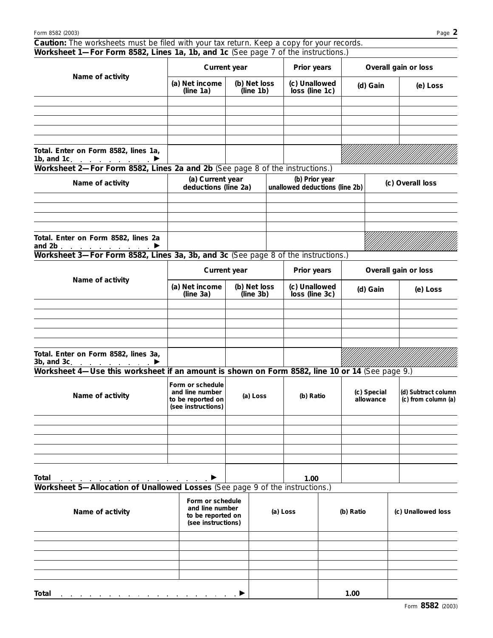| Caution: The worksheets must be filed with your tax return. Keep a copy for your records.<br>Worksheet 1-For Form 8582, Lines 1a, 1b, and 1c (See page 7 of the instructions.) |                                                                                |                           |                                                  |                                 |  |                          |  |                                            |  |
|--------------------------------------------------------------------------------------------------------------------------------------------------------------------------------|--------------------------------------------------------------------------------|---------------------------|--------------------------------------------------|---------------------------------|--|--------------------------|--|--------------------------------------------|--|
|                                                                                                                                                                                | Current year                                                                   |                           |                                                  | Prior years                     |  | Overall gain or loss     |  |                                            |  |
| Name of activity                                                                                                                                                               | (a) Net income<br>(line 1a)                                                    | (b) Net loss<br>(line 1b) |                                                  | (c) Unallowed<br>loss (line 1c) |  | (d) Gain                 |  | (e) Loss                                   |  |
|                                                                                                                                                                                |                                                                                |                           |                                                  |                                 |  |                          |  |                                            |  |
|                                                                                                                                                                                |                                                                                |                           |                                                  |                                 |  |                          |  |                                            |  |
|                                                                                                                                                                                |                                                                                |                           |                                                  |                                 |  |                          |  |                                            |  |
| Total. Enter on Form 8582, lines 1a,<br>1b, and 1c.                                                                                                                            |                                                                                |                           |                                                  |                                 |  |                          |  |                                            |  |
| Worksheet 2-For Form 8582, Lines 2a and 2b (See page 8 of the instructions.)                                                                                                   |                                                                                |                           |                                                  |                                 |  |                          |  |                                            |  |
| Name of activity                                                                                                                                                               | (a) Current year<br>deductions (line 2a)                                       |                           | (b) Prior year<br>unallowed deductions (line 2b) |                                 |  |                          |  | (c) Overall loss                           |  |
|                                                                                                                                                                                |                                                                                |                           |                                                  |                                 |  |                          |  |                                            |  |
| Total. Enter on Form 8582, lines 2a<br>and 2b $\qquad \qquad$                                                                                                                  |                                                                                |                           |                                                  |                                 |  |                          |  |                                            |  |
| Worksheet 3-For Form 8582, Lines 3a, 3b, and 3c (See page 8 of the instructions.)                                                                                              |                                                                                |                           |                                                  |                                 |  |                          |  |                                            |  |
|                                                                                                                                                                                |                                                                                | Current year              |                                                  | Prior years                     |  |                          |  | Overall gain or loss                       |  |
| Name of activity                                                                                                                                                               | (a) Net income<br>(line 3a)                                                    | (b) Net loss<br>(line 3b) |                                                  | (c) Unallowed<br>loss (line 3c) |  | (d) Gain                 |  | (e) Loss                                   |  |
|                                                                                                                                                                                |                                                                                |                           |                                                  |                                 |  |                          |  |                                            |  |
|                                                                                                                                                                                |                                                                                |                           |                                                  |                                 |  |                          |  |                                            |  |
|                                                                                                                                                                                |                                                                                |                           |                                                  |                                 |  |                          |  |                                            |  |
| Total. Enter on Form 8582, lines 3a,<br>3b, and 3c. $\qquad \qquad$ $\qquad$                                                                                                   |                                                                                |                           |                                                  |                                 |  |                          |  |                                            |  |
| Worksheet 4-Use this worksheet if an amount is shown on Form 8582, line 10 or 14 (See page 9.)                                                                                 |                                                                                |                           |                                                  |                                 |  |                          |  |                                            |  |
| Name of activity                                                                                                                                                               | Form or schedule<br>and line number<br>to be reported on<br>(see instructions) | (a) Loss                  |                                                  | (b) Ratio                       |  | (c) Special<br>allowance |  | (d) Subtract column<br>(c) from column (a) |  |
|                                                                                                                                                                                |                                                                                |                           |                                                  |                                 |  |                          |  |                                            |  |
|                                                                                                                                                                                |                                                                                |                           |                                                  |                                 |  |                          |  |                                            |  |
|                                                                                                                                                                                |                                                                                |                           |                                                  |                                 |  |                          |  |                                            |  |
| Total<br>Worksheet 5-Allocation of Unallowed Losses (See page 9 of the instructions.)                                                                                          |                                                                                |                           |                                                  | 1.00                            |  |                          |  |                                            |  |
|                                                                                                                                                                                | Form or schedule                                                               |                           |                                                  |                                 |  |                          |  |                                            |  |
| Name of activity                                                                                                                                                               | and line number<br>to be reported on<br>(see instructions)                     |                           |                                                  | (a) Loss                        |  | (b) Ratio                |  | (c) Unallowed loss                         |  |
|                                                                                                                                                                                |                                                                                |                           |                                                  |                                 |  |                          |  |                                            |  |
|                                                                                                                                                                                |                                                                                |                           |                                                  |                                 |  |                          |  |                                            |  |
|                                                                                                                                                                                |                                                                                |                           |                                                  |                                 |  |                          |  |                                            |  |
| Total                                                                                                                                                                          |                                                                                |                           |                                                  |                                 |  | 1.00                     |  |                                            |  |